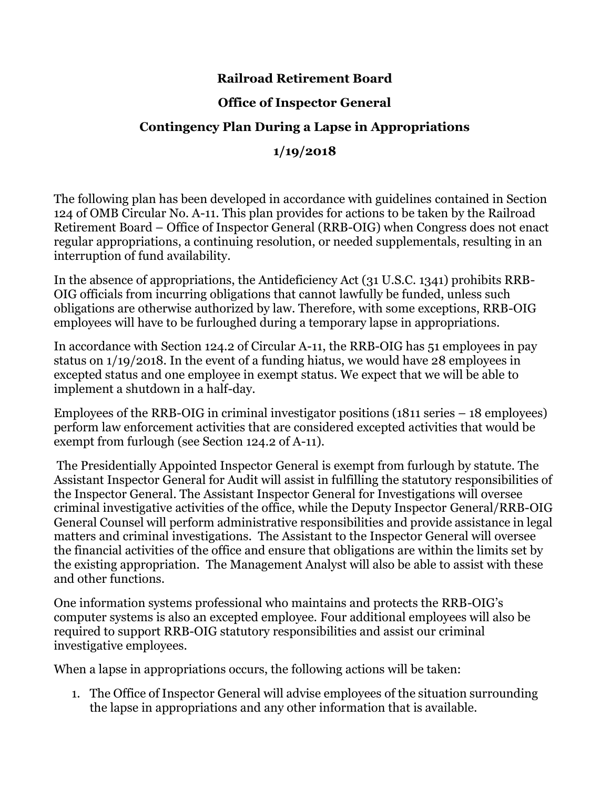## **Railroad Retirement Board**

## **Office of Inspector General**

# **Contingency Plan During a Lapse in Appropriations**

## **1/19/2018**

The following plan has been developed in accordance with guidelines contained in Section 124 of OMB Circular No. A-11. This plan provides for actions to be taken by the Railroad Retirement Board – Office of Inspector General (RRB-OIG) when Congress does not enact regular appropriations, a continuing resolution, or needed supplementals, resulting in an interruption of fund availability.

In the absence of appropriations, the Antideficiency Act (31 U.S.C. 1341) prohibits RRB-OIG officials from incurring obligations that cannot lawfully be funded, unless such obligations are otherwise authorized by law. Therefore, with some exceptions, RRB-OIG employees will have to be furloughed during a temporary lapse in appropriations.

In accordance with Section 124.2 of Circular A-11, the RRB-OIG has 51 employees in pay status on 1/19/2018. In the event of a funding hiatus, we would have 28 employees in excepted status and one employee in exempt status. We expect that we will be able to implement a shutdown in a half-day.

Employees of the RRB-OIG in criminal investigator positions (1811 series – 18 employees) perform law enforcement activities that are considered excepted activities that would be exempt from furlough (see Section 124.2 of A-11).

The Presidentially Appointed Inspector General is exempt from furlough by statute. The Assistant Inspector General for Audit will assist in fulfilling the statutory responsibilities of the Inspector General. The Assistant Inspector General for Investigations will oversee criminal investigative activities of the office, while the Deputy Inspector General/RRB-OIG General Counsel will perform administrative responsibilities and provide assistance in legal matters and criminal investigations. The Assistant to the Inspector General will oversee the financial activities of the office and ensure that obligations are within the limits set by the existing appropriation. The Management Analyst will also be able to assist with these and other functions.

One information systems professional who maintains and protects the RRB-OIG's computer systems is also an excepted employee. Four additional employees will also be required to support RRB-OIG statutory responsibilities and assist our criminal investigative employees.

When a lapse in appropriations occurs, the following actions will be taken:

1. The Office of Inspector General will advise employees of the situation surrounding the lapse in appropriations and any other information that is available.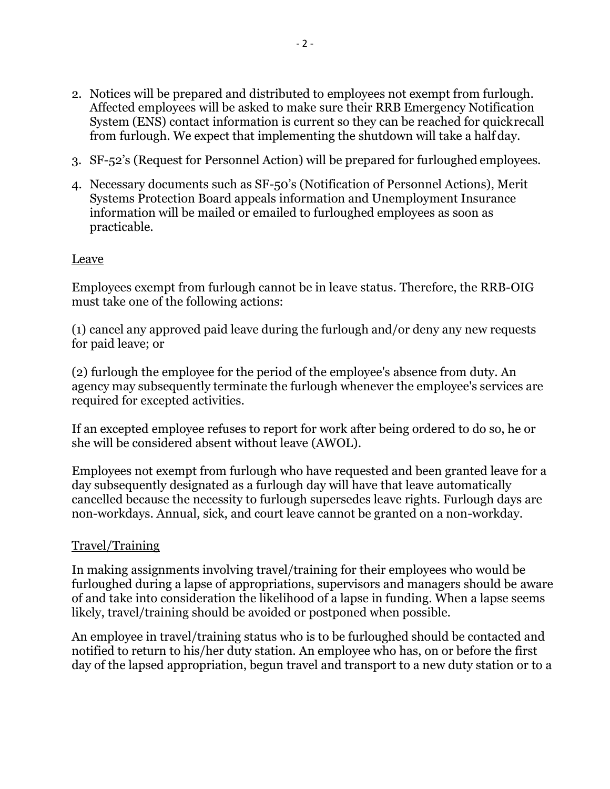- 2. Notices will be prepared and distributed to employees not exempt from furlough. Affected employees will be asked to make sure their RRB Emergency Notification System (ENS) contact information is current so they can be reached for quickrecall from furlough. We expect that implementing the shutdown will take a half day.
- 3. SF-52's (Request for Personnel Action) will be prepared for furloughed employees.
- 4. Necessary documents such as SF-50's (Notification of Personnel Actions), Merit Systems Protection Board appeals information and Unemployment Insurance information will be mailed or emailed to furloughed employees as soon as practicable.

### Leave

Employees exempt from furlough cannot be in leave status. Therefore, the RRB-OIG must take one of the following actions:

(1) cancel any approved paid leave during the furlough and/or deny any new requests for paid leave; or

(2) furlough the employee for the period of the employee's absence from duty. An agency may subsequently terminate the furlough whenever the employee's services are required for excepted activities.

If an excepted employee refuses to report for work after being ordered to do so, he or she will be considered absent without leave (AWOL).

Employees not exempt from furlough who have requested and been granted leave for a day subsequently designated as a furlough day will have that leave automatically cancelled because the necessity to furlough supersedes leave rights. Furlough days are non-workdays. Annual, sick, and court leave cannot be granted on a non-workday.

## Travel/Training

In making assignments involving travel/training for their employees who would be furloughed during a lapse of appropriations, supervisors and managers should be aware of and take into consideration the likelihood of a lapse in funding. When a lapse seems likely, travel/training should be avoided or postponed when possible.

An employee in travel/training status who is to be furloughed should be contacted and notified to return to his/her duty station. An employee who has, on or before the first day of the lapsed appropriation, begun travel and transport to a new duty station or to a